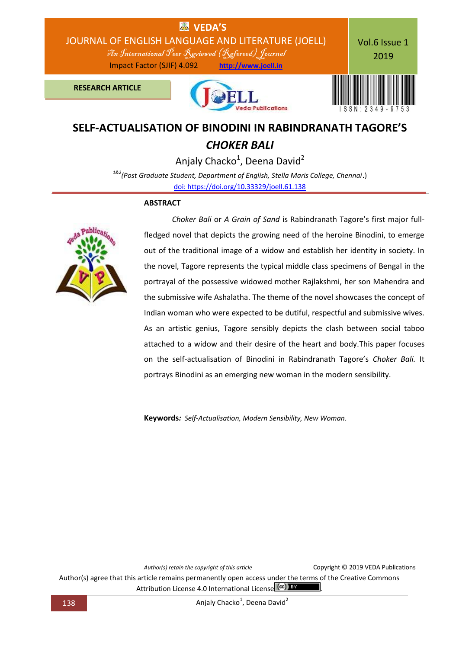

# **SELF-ACTUALISATION OF BINODINI IN RABINDRANATH TAGORE'S**  *CHOKER BALI*

Anjaly Chacko<sup>1</sup>, Deena David<sup>2</sup>

*1&2(Post Graduate Student, Department of English, Stella Maris College, Chennai*.) [doi: https://doi.org/10.33329/joell.61.138](http://joell.in/vol-6-issue-1-2019/)

#### **ABSTRACT**



 *Choker Bali* or *A Grain of Sand* is Rabindranath Tagore's first major fullfledged novel that depicts the growing need of the heroine Binodini, to emerge out of the traditional image of a widow and establish her identity in society. In the novel, Tagore represents the typical middle class specimens of Bengal in the portrayal of the possessive widowed mother Rajlakshmi, her son Mahendra and the submissive wife Ashalatha. The theme of the novel showcases the concept of Indian woman who were expected to be dutiful, respectful and submissive wives. As an artistic genius, Tagore sensibly depicts the clash between social taboo attached to a widow and their desire of the heart and body.This paper focuses on the self-actualisation of Binodini in Rabindranath Tagore's *Choker Bali.* It portrays Binodini as an emerging new woman in the modern sensibility.

**Keywords***: Self-Actualisation, Modern Sensibility, New Woman.*

Author(s) retain the copyright of this article **Copyright C 2019 VEDA Publications** 

Author(s) agree that this article remains permanently open access under the terms of the Creative Commons Attribution License 4.0 International License  $\left[\text{cc}\right]$  BY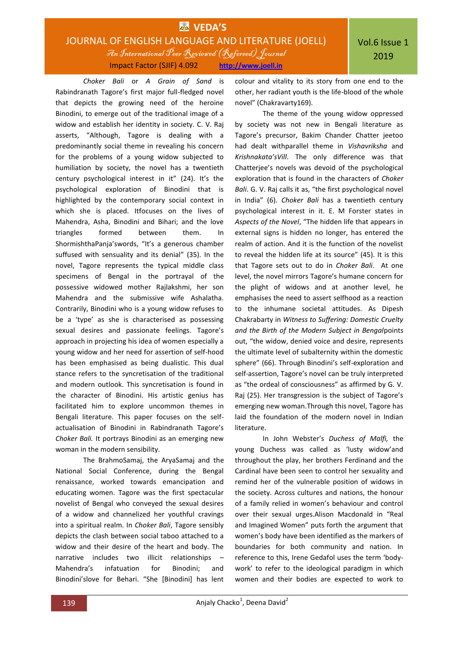## **EX** VEDA'S JOURNAL OF ENGLISH LANGUAGE AND LITERATURE (JOELL) An International Peer Reviewed (Refereed)Journal Impact Factor (SJIF) 4.092 **http://www.joell.in**

*Choker Bali* or *A Grain of Sand* is Rabindranath Tagore's first major full-fledged novel that depicts the growing need of the heroine Binodini, to emerge out of the traditional image of a widow and establish her identity in society. C. V. Raj asserts, "Although, Tagore is dealing with a predominantly social theme in revealing his concern for the problems of a young widow subjected to humiliation by society, the novel has a twentieth century psychological interest in it" (24). It's the psychological exploration of Binodini that is highlighted by the contemporary social context in which she is placed. Itfocuses on the lives of Mahendra, Asha, Binodini and Bihari; and the love triangles formed between them. In ShormishthaPanja'swords, "It's a generous chamber suffused with sensuality and its denial" (35). In the novel, Tagore represents the typical middle class specimens of Bengal in the portrayal of the possessive widowed mother Rajlakshmi, her son Mahendra and the submissive wife Ashalatha. Contrarily, Binodini who is a young widow refuses to be a 'type' as she is characterised as possessing sexual desires and passionate feelings. Tagore's approach in projecting his idea of women especially a young widow and her need for assertion of self-hood has been emphasised as being dualistic. This dual stance refers to the syncretisation of the traditional and modern outlook. This syncretisation is found in the character of Binodini. His artistic genius has facilitated him to explore uncommon themes in Bengali literature. This paper focuses on the selfactualisation of Binodini in Rabindranath Tagore's *Choker Bali.* It portrays Binodini as an emerging new woman in the modern sensibility.

The BrahmoSamaj, the AryaSamaj and the National Social Conference, during the Bengal renaissance, worked towards emancipation and educating women. Tagore was the first spectacular novelist of Bengal who conveyed the sexual desires of a widow and channelized her youthful cravings into a spiritual realm. In *Choker Bali*, Tagore sensibly depicts the clash between social taboo attached to a widow and their desire of the heart and body. The narrative includes two illicit relationships – Mahendra's infatuation for Binodini; and Binodini'slove for Behari. "She [Binodini] has lent colour and vitality to its story from one end to the other, her radiant youth is the life-blood of the whole novel" (Chakravarty169).

The theme of the young widow oppressed by society was not new in Bengali literature as Tagore's precursor, Bakim Chander Chatter jeetoo had dealt withparallel theme in *Vishavriksha* and *Krishnakata'sVill*. The only difference was that Chatterjee's novels was devoid of the psychological exploration that is found in the characters of *Choker Bali*. G. V. Raj calls it as, "the first psychological novel in India" (6). *Choker Bali* has a twentieth century psychological interest in it. E. M Forster states in *Aspects of the Novel*, "The hidden life that appears in external signs is hidden no longer, has entered the realm of action. And it is the function of the novelist to reveal the hidden life at its source" (45). It is this that Tagore sets out to do in *Choker Bali*. At one level, the novel mirrors Tagore's humane concern for the plight of widows and at another level, he emphasises the need to assert selfhood as a reaction to the inhumane societal attitudes. As Dipesh Chakrabarty in *Witness to Suffering: Domestic Cruelty and the Birth of the Modern Subject in Bengal*points out, "the widow, denied voice and desire, represents the ultimate level of subalternity within the domestic sphere" (66). Through Binodini's self-exploration and self-assertion, Tagore's novel can be truly interpreted as "the ordeal of consciousness" as affirmed by G. V. Raj (25). Her transgression is the subject of Tagore's emerging new woman.Through this novel, Tagore has laid the foundation of the modern novel in Indian literature.

In John Webster's *Duchess of Malfi,* the young Duchess was called as 'lusty widow'and throughout the play, her brothers Ferdinand and the Cardinal have been seen to control her sexuality and remind her of the vulnerable position of widows in the society. Across cultures and nations, the honour of a family relied in women's behaviour and control over their sexual urges.Alison Macdonald in "Real and Imagined Women" puts forth the argument that women's body have been identified as the markers of boundaries for both community and nation. In reference to this, Irene Gedafol uses the term 'bodywork' to refer to the ideological paradigm in which women and their bodies are expected to work to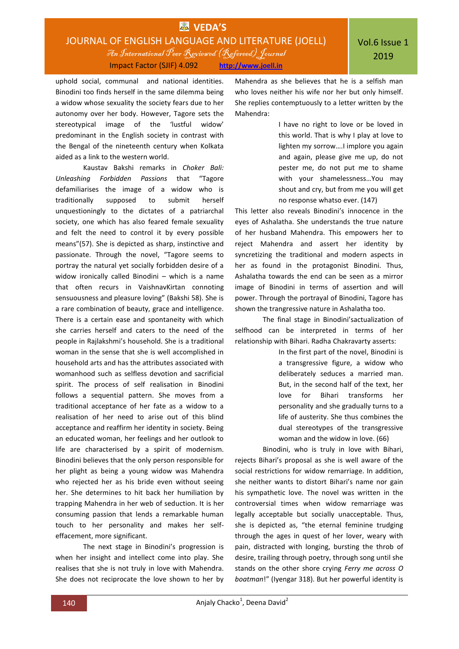### **EX** VEDA'S JOURNAL OF ENGLISH LANGUAGE AND LITERATURE (JOELL) An International Peer Reviewed (Refereed)Journal Impact Factor (SJIF) 4.092 **http://www.joell.in**

uphold social, communal and national identities. Binodini too finds herself in the same dilemma being a widow whose sexuality the society fears due to her autonomy over her body. However, Tagore sets the stereotypical image of the 'lustful widow' predominant in the English society in contrast with the Bengal of the nineteenth century when Kolkata aided as a link to the western world.

Kaustav Bakshi remarks in *Choker Bali: Unleashing Forbidden Passions* that "Tagore defamiliarises the image of a widow who is traditionally supposed to submit herself unquestioningly to the dictates of a patriarchal society, one which has also feared female sexuality and felt the need to control it by every possible means"(57). She is depicted as sharp, instinctive and passionate. Through the novel, "Tagore seems to portray the natural yet socially forbidden desire of a widow ironically called Binodini – which is a name that often recurs in VaishnavKirtan connoting sensuousness and pleasure loving" (Bakshi 58). She is a rare combination of beauty, grace and intelligence. There is a certain ease and spontaneity with which she carries herself and caters to the need of the people in Rajlakshmi's household. She is a traditional woman in the sense that she is well accomplished in household arts and has the attributes associated with womanhood such as selfless devotion and sacrificial spirit. The process of self realisation in Binodini follows a sequential pattern. She moves from a traditional acceptance of her fate as a widow to a realisation of her need to arise out of this blind acceptance and reaffirm her identity in society. Being an educated woman, her feelings and her outlook to life are characterised by a spirit of modernism. Binodini believes that the only person responsible for her plight as being a young widow was Mahendra who rejected her as his bride even without seeing her. She determines to hit back her humiliation by trapping Mahendra in her web of seduction. It is her consuming passion that lends a remarkable human touch to her personality and makes her selfeffacement, more significant.

The next stage in Binodini's progression is when her insight and intellect come into play. She realises that she is not truly in love with Mahendra. She does not reciprocate the love shown to her by

Mahendra as she believes that he is a selfish man who loves neither his wife nor her but only himself. She replies contemptuously to a letter written by the Mahendra:

> I have no right to love or be loved in this world. That is why I play at love to lighten my sorrow….I implore you again and again, please give me up, do not pester me, do not put me to shame with your shamelessness…You may shout and cry, but from me you will get no response whatso ever. (147)

This letter also reveals Binodini's innocence in the eyes of Ashalatha. She understands the true nature of her husband Mahendra. This empowers her to reject Mahendra and assert her identity by syncretizing the traditional and modern aspects in her as found in the protagonist Binodini. Thus, Ashalatha towards the end can be seen as a mirror image of Binodini in terms of assertion and will power. Through the portrayal of Binodini, Tagore has shown the trangressive nature in Ashalatha too.

The final stage in Binodini'sactualization of selfhood can be interpreted in terms of her relationship with Bihari. Radha Chakravarty asserts:

> In the first part of the novel, Binodini is a transgressive figure, a widow who deliberately seduces a married man. But, in the second half of the text, her love for Bihari transforms her personality and she gradually turns to a life of austerity. She thus combines the dual stereotypes of the transgressive woman and the widow in love. (66)

Binodini, who is truly in love with Bihari, rejects Bihari's proposal as she is well aware of the social restrictions for widow remarriage. In addition, she neither wants to distort Bihari's name nor gain his sympathetic love. The novel was written in the controversial times when widow remarriage was legally acceptable but socially unacceptable. Thus, she is depicted as, "the eternal feminine trudging through the ages in quest of her lover, weary with pain, distracted with longing, bursting the throb of desire, trailing through poetry, through song until she stands on the other shore crying *Ferry me across O boatman*!" (Iyengar 318). But her powerful identity is